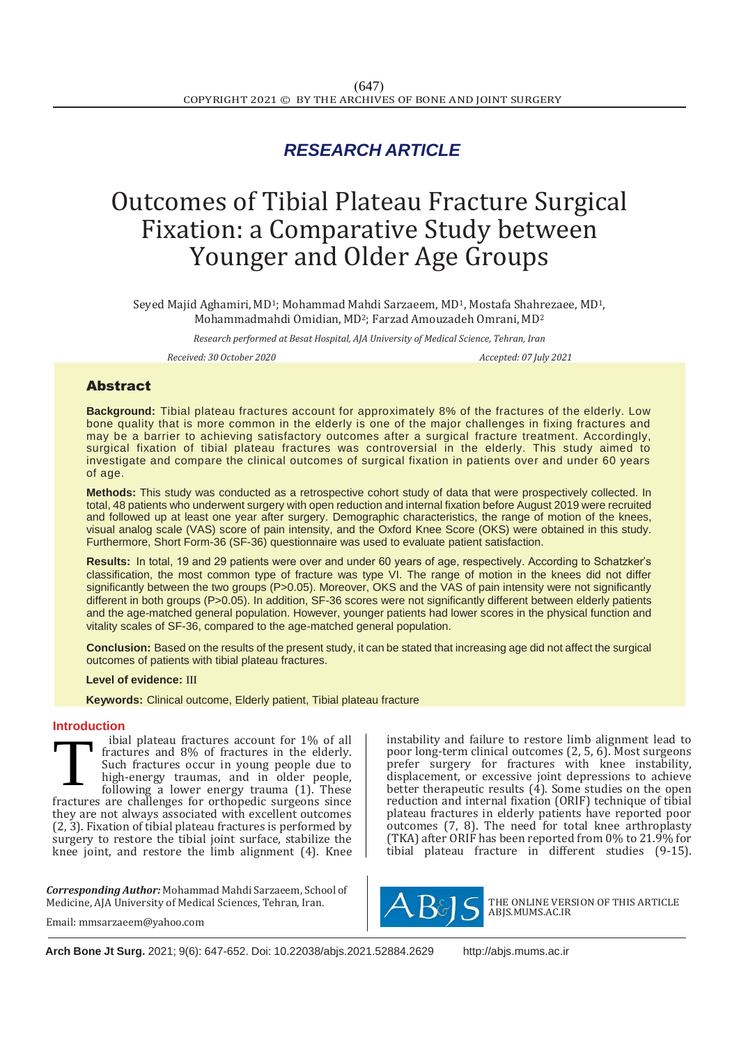# *RESEARCH ARTICLE*

# Outcomes of Tibial Plateau Fracture Surgical Fixation: a Comparative Study between Younger and Older Age Groups

Seyed Majid Aghamiri, MD1; Mohammad Mahdi Sarzaeem, MD1, Mostafa Shahrezaee, MD1, Mohammadmahdi Omidian, MD2; Farzad Amouzadeh Omrani, MD<sup>2</sup>

*Research performed at Besat Hospital, AJA University of Medical Science, Tehran, Iran*

*Received: 30 October 2020 Accepted: 07 July 2021*

# Abstract

**Background:** Tibial plateau fractures account for approximately 8% of the fractures of the elderly. Low bone quality that is more common in the elderly is one of the major challenges in fixing fractures and may be a barrier to achieving satisfactory outcomes after a surgical fracture treatment. Accordingly, surgical fixation of tibial plateau fractures was controversial in the elderly. This study aimed to investigate and compare the clinical outcomes of surgical fixation in patients over and under 60 years of age.

**Methods:** This study was conducted as a retrospective cohort study of data that were prospectively collected. In total, 48 patients who underwent surgery with open reduction and internal fixation before August 2019 were recruited and followed up at least one year after surgery. Demographic characteristics, the range of motion of the knees, visual analog scale (VAS) score of pain intensity, and the Oxford Knee Score (OKS) were obtained in this study. Furthermore, Short Form-36 (SF-36) questionnaire was used to evaluate patient satisfaction.

**Results:** In total, 19 and 29 patients were over and under 60 years of age, respectively. According to Schatzker's classification, the most common type of fracture was type VI. The range of motion in the knees did not differ significantly between the two groups (P>0.05). Moreover, OKS and the VAS of pain intensity were not significantly different in both groups (P>0.05). In addition, SF-36 scores were not significantly different between elderly patients and the age-matched general population. However, younger patients had lower scores in the physical function and vitality scales of SF-36, compared to the age-matched general population.

**Conclusion:** Based on the results of the present study, it can be stated that increasing age did not affect the surgical outcomes of patients with tibial plateau fractures.

### **Level of evidence:** III

 **Keywords:** Clinical outcome, Elderly patient, Tibial plateau fracture

### **Introduction**

ibial plateau fractures account for 1% of all fractures and 8% of fractures in the elderly. Such fractures occur in young people due to high-energy traumas, and in older people, following a lower energy trauma (1). These fractures are challenges for orthopedic surgeons since they are not always associated with excellent outcomes (2, 3). Fixation of tibial plateau fractures is performed by surgery to restore the tibial joint surface, stabilize the knee joint, and restore the limb alignment (4). Knee T

*Corresponding Author:* Mohammad Mahdi Sarzaeem, School of Medicine, AJA University of Medical Sciences, Tehran, Iran.

Email: mmsarzaeem@yahoo.com

instability and failure to restore limb alignment lead to poor long-term clinical outcomes (2, 5, 6). Most surgeons prefer surgery for fractures with knee instability, displacement, or excessive joint depressions to achieve better therapeutic results (4). Some studies on the open reduction and internal fixation (ORIF) technique of tibial plateau fractures in elderly patients have reported poor outcomes (7, 8). The need for total knee arthroplasty (TKA) after ORIF has been reported from 0% to 21.9% for tibial plateau fracture in different studies (9-15).



THE ONLINE VERSION OF THIS ARTICLE ABJS.MUMS.AC.IR

**Arch Bone Jt Surg.** 2021; 9(6): 647-652. Doi: 10.22038/abjs.2021.52884.2629 [http://abjs.mums.ac.ir](http://abjs.mums.ac.ir/)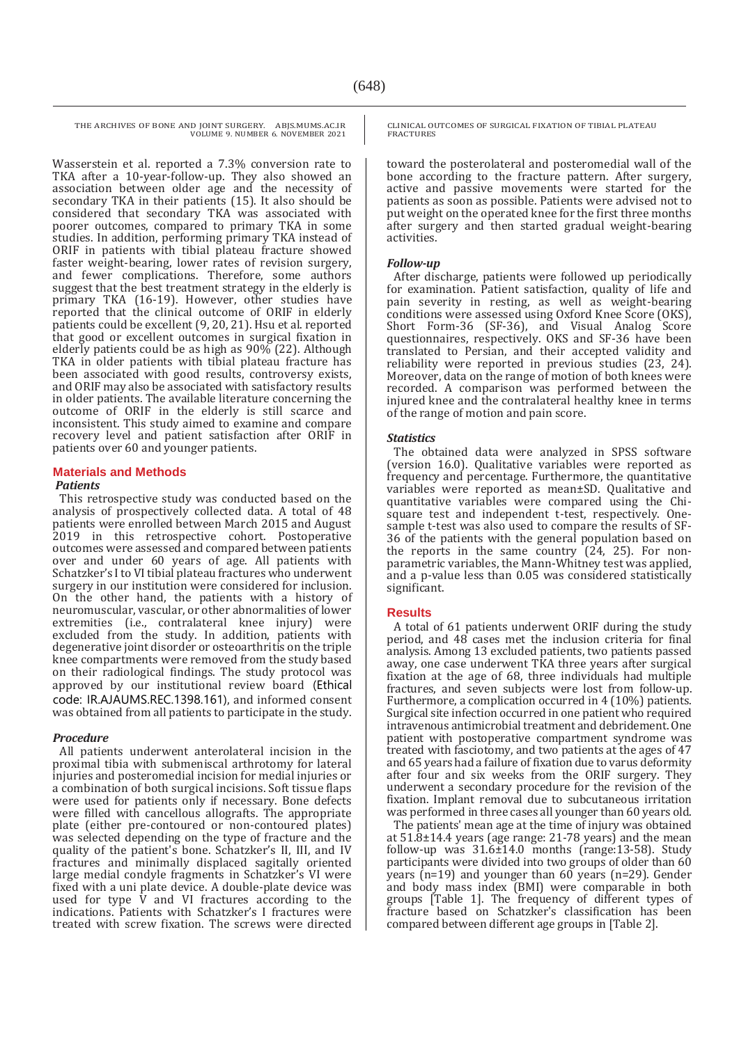Wasserstein et al. reported a 7.3% conversion rate to TKA after a 10-year-follow-up. They also showed an association between older age and the necessity of secondary TKA in their patients (15). It also should be considered that secondary TKA was associated with poorer outcomes, compared to primary TKA in some studies. In addition, performing primary TKA instead of ORIF in patients with tibial plateau fracture showed faster weight-bearing, lower rates of revision surgery, and fewer complications. Therefore, some authors suggest that the best treatment strategy in the elderly is primary TKA (16-19). However, other studies have reported that the clinical outcome of ORIF in elderly patients could be excellent (9, 20, 21). Hsu et al. reported that good or excellent outcomes in surgical fixation in elderly patients could be as high as  $90\%$  (22). Although TKA in older patients with tibial plateau fracture has been associated with good results, controversy exists, and ORIF may also be associated with satisfactory results in older patients. The available literature concerning the outcome of ORIF in the elderly is still scarce and inconsistent. This study aimed to examine and compare recovery level and patient satisfaction after ORIF in patients over 60 and younger patients.

# **Materials and Methods**

### *Patients*

This retrospective study was conducted based on the analysis of prospectively collected data. A total of 48 patients were enrolled between March 2015 and August 2019 in this retrospective cohort. Postoperative outcomes were assessed and compared between patients over and under 60 years of age. All patients with Schatzker's I to VI tibial plateau fractures who underwent surgery in our institution were considered for inclusion. On the other hand, the patients with a history of neuromuscular, vascular, or other abnormalities of lower extremities (i.e., contralateral knee injury) were excluded from the study. In addition, patients with degenerative joint disorder or osteoarthritis on the triple knee compartments were removed from the study based on their radiological findings. The study protocol was approved by our institutional review board (Ethical code: IR.AJAUMS.REC.1398.161), and informed consent was obtained from all patients to participate in the study.

# *Procedure*

All patients underwent anterolateral incision in the proximal tibia with submeniscal arthrotomy for lateral injuries and posteromedial incision for medial injuries or a combination of both surgical incisions. Soft tissue flaps were used for patients only if necessary. Bone defects were filled with cancellous allografts. The appropriate plate (either pre-contoured or non-contoured plates) was selected depending on the type of fracture and the quality of the patient's bone. Schatzker's II, III, and IV fractures and minimally displaced sagitally oriented large medial condyle fragments in Schatzker's VI were fixed with a uni plate device. A double-plate device was used for type  $\hat{V}$  and VI fractures according to the indications. Patients with Schatzker's I fractures were treated with screw fixation. The screws were directed CLINICAL OUTCOMES OF SURGICAL FIXATION OF TIBIAL PLATEAU FRACTURES

toward the posterolateral and posteromedial wall of the bone according to the fracture pattern. After surgery, active and passive movements were started for the patients as soon as possible. Patients were advised not to put weight on the operated knee for the first three months after surgery and then started gradual weight-bearing activities.

# *Follow-up*

After discharge, patients were followed up periodically for examination. Patient satisfaction, quality of life and pain severity in resting, as well as weight-bearing conditions were assessed using Oxford Knee Score (OKS), Short Form-36 (SF-36), and Visual Analog Score questionnaires, respectively. OKS and SF-36 have been translated to Persian, and their accepted validity and reliability were reported in previous studies (23, 24). Moreover, data on the range of motion of both knees were recorded. A comparison was performed between the injured knee and the contralateral healthy knee in terms of the range of motion and pain score.

# *Statistics*

The obtained data were analyzed in SPSS software (version 16.0). Qualitative variables were reported as frequency and percentage. Furthermore, the quantitative variables were reported as mean±SD. Qualitative and quantitative variables were compared using the Chisquare test and independent t-test, respectively. Onesample t-test was also used to compare the results of SF-36 of the patients with the general population based on the reports in the same country (24, 25). For nonparametric variables, the Mann-Whitney test was applied, and a p-value less than 0.05 was considered statistically significant.

# **Results**

A total of 61 patients underwent ORIF during the study period, and 48 cases met the inclusion criteria for final analysis. Among 13 excluded patients, two patients passed away, one case underwent TKA three years after surgical fixation at the age of 68, three individuals had multiple fractures, and seven subjects were lost from follow-up. Furthermore, a complication occurred in 4 (10%) patients. Surgical site infection occurred in one patient who required intravenous antimicrobial treatment and debridement. One patient with postoperative compartment syndrome was treated with fasciotomy, and two patients at the ages of 47 and 65 years had a failure of fixation due to varus deformity after four and six weeks from the ORIF surgery. They underwent a secondary procedure for the revision of the fixation. Implant removal due to subcutaneous irritation was performed in three cases all younger than 60 years old.

The patients' mean age at the time of injury was obtained at 51.8±14.4 years (age range: 21-78 years) and the mean follow-up was 31.6±14.0 months (range:13-58). Study participants were divided into two groups of older than 60 years (n=19) and younger than 60 years (n=29). Gender and body mass index (BMI) were comparable in both groups [Table 1]. The frequency of different types of fracture based on Schatzker's classification has been compared between different age groups in [Table 2].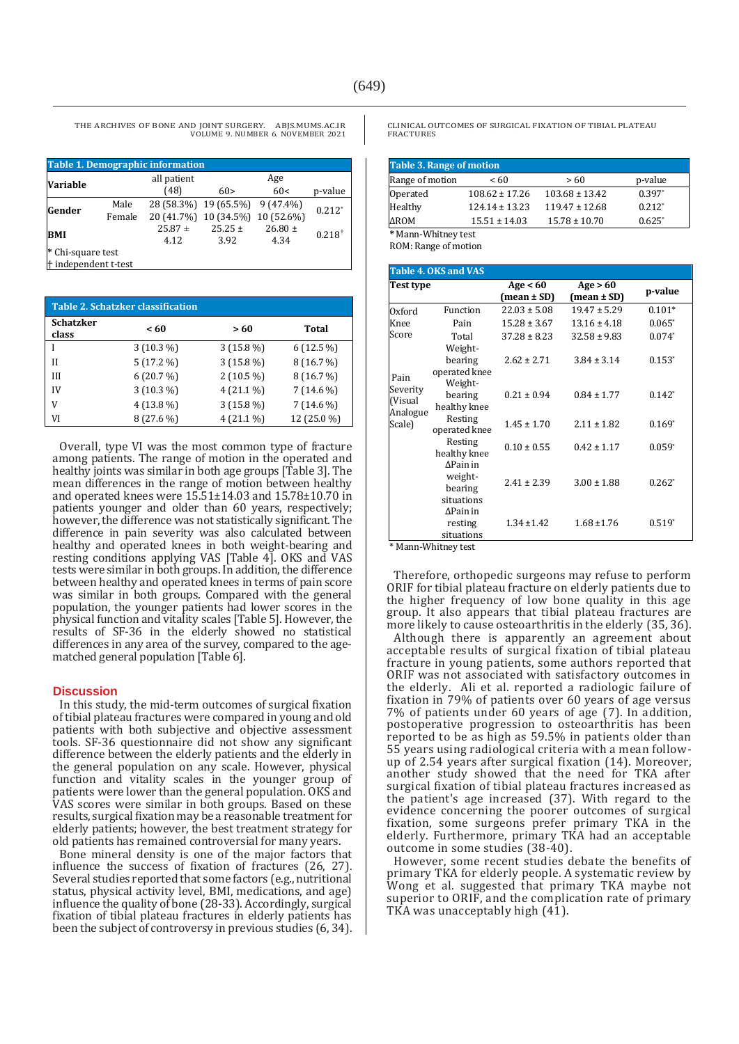| <b>Table 1. Demographic information</b>              |                |                     |                                                           |                     |                   |
|------------------------------------------------------|----------------|---------------------|-----------------------------------------------------------|---------------------|-------------------|
| <b>Variable</b>                                      |                | all patient<br>(48) | 60>                                                       | Age<br>60<          | p-value           |
| Gender                                               | Male<br>Female |                     | 28 (58.3%) 19 (65.5%)<br>20 (41.7%) 10 (34.5%) 10 (52.6%) | $9(47.4\%)$         | $0.212*$          |
| <b>BMI</b>                                           |                | $25.87 +$<br>4.12   | $25.25 \pm$<br>3.92                                       | $26.80 \pm$<br>4.34 | $0.218^{\dagger}$ |
| * Chi-square test<br><sup>†</sup> independent t-test |                |                     |                                                           |                     |                   |

| <b>Table 2. Schatzker classification</b> |             |             |             |  |
|------------------------------------------|-------------|-------------|-------------|--|
| <b>Schatzker</b><br>class                | < 60        | >60         | Total       |  |
|                                          | $3(10.3\%)$ | $3(15.8\%)$ | $6(12.5\%)$ |  |
| Н                                        | $5(17.2\%)$ | $3(15.8\%)$ | 8 (16.7 %)  |  |
| III                                      | 6(20.7%)    | $2(10.5\%)$ | 8 (16.7 %)  |  |
| IV                                       | $3(10.3\%)$ | $4(21.1\%)$ | $7(14.6\%)$ |  |
| V                                        | $4(13.8\%)$ | $3(15.8\%)$ | $7(14.6\%)$ |  |
| VI                                       | $8(27.6\%)$ | $4(21.1\%)$ | 12 (25.0 %) |  |

Overall, type VI was the most common type of fracture among patients. The range of motion in the operated and healthy joints was similar in both age groups [Table 3]. The mean differences in the range of motion between healthy and operated knees were 15.51±14.03 and 15.78±10.70 in patients younger and older than 60 years, respectively; however, the difference was not statistically significant. The difference in pain severity was also calculated between healthy and operated knees in both weight-bearing and resting conditions applying VAS [Table 4]. OKS and VAS tests were similar in both groups. In addition, the difference between healthy and operated knees in terms of pain score was similar in both groups. Compared with the general population, the younger patients had lower scores in the physical function and vitality scales [Table 5]. However, the results of SF-36 in the elderly showed no statistical differences in any area of the survey, compared to the agematched general population [Table 6].

#### **Discussion**

In this study, the mid-term outcomes of surgical fixation of tibial plateau fractures were compared in young and old patients with both subjective and objective assessment tools. SF-36 questionnaire did not show any significant difference between the elderly patients and the elderly in the general population on any scale. However, physical function and vitality scales in the younger group of patients were lower than the general population. OKS and VAS scores were similar in both groups. Based on these results, surgical fixation may be a reasonable treatment for elderly patients; however, the best treatment strategy for old patients has remained controversial for many years.

Bone mineral density is one of the major factors that influence the success of fixation of fractures (26, 27). Several studies reported that some factors (e.g., nutritional status, physical activity level, BMI, medications, and age) influence the quality of bone (28-33). Accordingly, surgical fixation of tibial plateau fractures in elderly patients has been the subject of controversy in previous studies (6, 34).

CLINICAL OUTCOMES OF SURGICAL FIXATION OF TIBIAL PLATEAU FRACTURES

| <b>Table 3. Range of motion</b> |                    |                    |          |  |  |
|---------------------------------|--------------------|--------------------|----------|--|--|
| Range of motion                 | <60                | >60                | p-value  |  |  |
| Operated                        | $108.62 \pm 17.26$ | $103.68 \pm 13.42$ | $0.397*$ |  |  |
| Healthy                         | $124.14 \pm 13.23$ | $119.47 \pm 12.68$ | $0.212*$ |  |  |
| <b>AROM</b>                     | $15.51 \pm 14.03$  | $15.78 \pm 10.70$  | $0.625*$ |  |  |
| * Mann-Whitney test             |                    |                    |          |  |  |

ROM: Range of motion

|                                           | <b>Table 4. OKS and VAS</b>                          |                           |                           |          |
|-------------------------------------------|------------------------------------------------------|---------------------------|---------------------------|----------|
| Test type                                 |                                                      | Age $< 60$<br>(mean ± SD) | Age > 60<br>$mean \pm SD$ | p-value  |
| Oxford                                    | Function                                             | $22.03 \pm 5.08$          | $19.47 \pm 5.29$          | $0.101*$ |
| Knee                                      | Pain                                                 | $15.28 \pm 3.67$          | $13.16 \pm 4.18$          | $0.065*$ |
| Score                                     | Total                                                | $37.28 \pm 8.23$          | $32.58 \pm 9.83$          | $0.074*$ |
| Pain                                      | Weight-<br>bearing<br>operated knee                  | $2.62 \pm 2.71$           | $3.84 \pm 3.14$           | $0.153*$ |
| Severity<br>(Visual<br>Analogue<br>Scale) | Weight-<br>bearing<br>healthy knee                   | $0.21 \pm 0.94$           | $0.84 \pm 1.77$           | $0.142*$ |
|                                           | Resting<br>operated knee                             | $1.45 \pm 1.70$           | $2.11 \pm 1.82$           | $0.169*$ |
|                                           | Resting<br>healthy knee                              | $0.10 \pm 0.55$           | $0.42 + 1.17$             | $0.059*$ |
|                                           | $\Delta$ Pain in<br>weight-<br>bearing<br>situations | $2.41 \pm 2.39$           | $3.00 \pm 1.88$           | $0.262*$ |
|                                           | $\Delta$ Pain in<br>resting<br>situations            | $1.34 \pm 1.42$           | $1.68 \pm 1.76$           | $0.519*$ |

\* Mann-Whitney test

Therefore, orthopedic surgeons may refuse to perform ORIF for tibial plateau fracture on elderly patients due to the higher frequency of low bone quality in this age group. It also appears that tibial plateau fractures are more likely to cause osteoarthritis in the elderly (35, 36).

Although there is apparently an agreement about acceptable results of surgical fixation of tibial plateau fracture in young patients, some authors reported that ORIF was not associated with satisfactory outcomes in the elderly. Ali et al. reported a radiologic failure of fixation in 79% of patients over 60 years of age versus 7% of patients under 60 years of age (7). In addition, postoperative progression to osteoarthritis has been reported to be as high as 59.5% in patients older than 55 years using radiological criteria with a mean followup of 2.54 years after surgical fixation (14). Moreover, another study showed that the need for TKA after surgical fixation of tibial plateau fractures increased as the patient's age increased (37). With regard to the evidence concerning the poorer outcomes of surgical fixation, some surgeons prefer primary TKA in the elderly. Furthermore, primary TKA had an acceptable outcome in some studies (38-40).

However, some recent studies debate the benefits of primary TKA for elderly people. A systematic review by Wong et al. suggested that primary TKA maybe not superior to ORIF, and the complication rate of primary TKA was unacceptably high (41).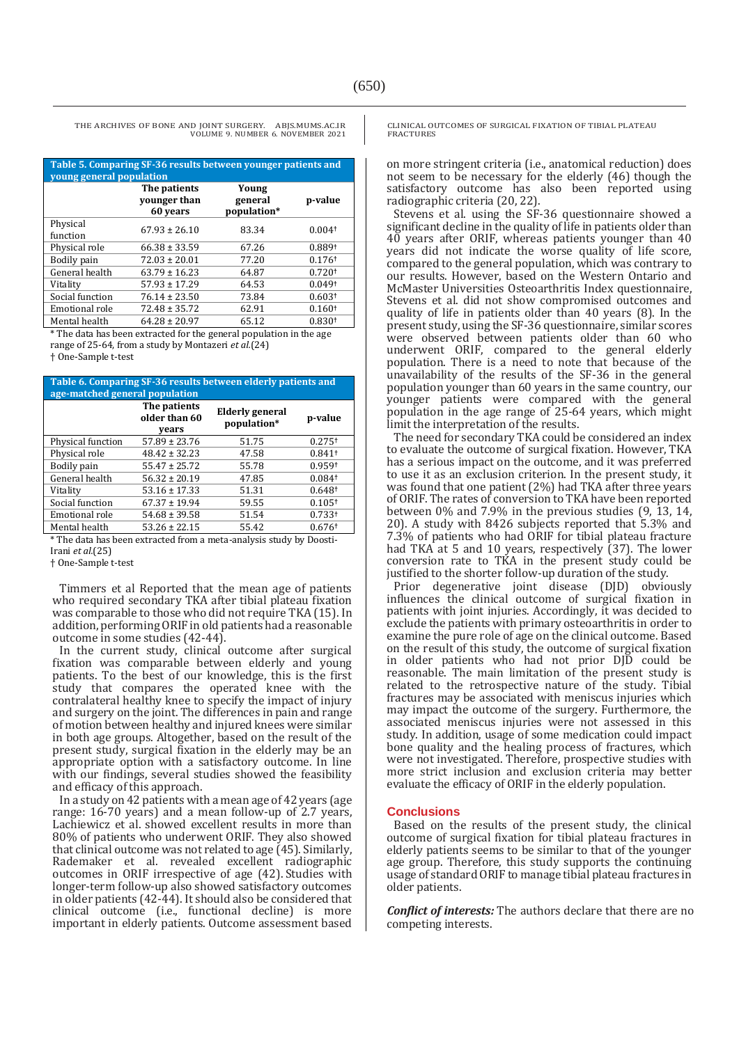| Table 5. Comparing SF-36 results between younger patients and<br>young general population |                                          |                                 |                    |  |
|-------------------------------------------------------------------------------------------|------------------------------------------|---------------------------------|--------------------|--|
|                                                                                           | The patients<br>younger than<br>60 years | Young<br>general<br>population* | p-value            |  |
| Physical<br>function                                                                      | $67.93 \pm 26.10$                        | 83.34                           | 0.004 <sup>†</sup> |  |
| Physical role                                                                             | $66.38 \pm 33.59$                        | 67.26                           | 0.889 <sup>+</sup> |  |
| Bodily pain                                                                               | $72.03 \pm 20.01$                        | 77.20                           | 0.176 <sup>†</sup> |  |
| General health                                                                            | $63.79 \pm 16.23$                        | 64.87                           | 0.720 <sup>†</sup> |  |
| Vitality                                                                                  | $57.93 \pm 17.29$                        | 64.53                           | 0.049 <sup>†</sup> |  |
| Social function                                                                           | $76.14 \pm 23.50$                        | 73.84                           | 0.603 <sup>†</sup> |  |
| Emotional role                                                                            | $72.48 \pm 35.72$                        | 62.91                           | 0.160 <sup>†</sup> |  |
| Mental health                                                                             | $64.28 \pm 20.97$                        | 65.12                           | 0.830 <sup>†</sup> |  |

\* The data has been extracted for the general population in the age range of 25-64, from a study by Montazeri *et al.*(24)

† One-Sample t-test

| Table 6. Comparing SF-36 results between elderly patients and<br>age-matched general population |                                        |                                |                      |  |  |
|-------------------------------------------------------------------------------------------------|----------------------------------------|--------------------------------|----------------------|--|--|
|                                                                                                 | The patients<br>older than 60<br>vears | Elderly general<br>population* | p-value              |  |  |
| Physical function                                                                               | $57.89 \pm 23.76$                      | 51.75                          | $0.275$ <sup>+</sup> |  |  |
| Physical role                                                                                   | $48.42 \pm 32.23$                      | 47.58                          | $0.841$ <sup>+</sup> |  |  |
| Bodily pain                                                                                     | $55.47 \pm 25.72$                      | 55.78                          | 0.959t               |  |  |
| General health                                                                                  | $56.32 \pm 20.19$                      | 47.85                          | $0.084$ t            |  |  |
| Vitality                                                                                        | $53.16 \pm 17.33$                      | 51.31                          | 0.648 <sup>†</sup>   |  |  |
| Social function                                                                                 | $67.37 \pm 19.94$                      | 59.55                          | 0.105 <sup>†</sup>   |  |  |
| Emotional role                                                                                  | $54.68 \pm 39.58$                      | 51.54                          | 0.733 <sup>†</sup>   |  |  |
| Mental health                                                                                   | $53.26 \pm 22.15$                      | 55.42                          | $0.676$ <sup>t</sup> |  |  |

\* The data has been extracted from a meta-analysis study by Doosti-Irani *et al.*(25)

† One-Sample t-test

Timmers et al Reported that the mean age of patients who required secondary TKA after tibial plateau fixation was comparable to those who did not require TKA (15). In addition, performing ORIF in old patients had a reasonable outcome in some studies (42-44).

In the current study, clinical outcome after surgical fixation was comparable between elderly and young patients. To the best of our knowledge, this is the first study that compares the operated knee with the contralateral healthy knee to specify the impact of injury and surgery on the joint. The differences in pain and range of motion between healthy and injured knees were similar in both age groups. Altogether, based on the result of the present study, surgical fixation in the elderly may be an appropriate option with a satisfactory outcome. In line with our findings, several studies showed the feasibility and efficacy of this approach.

In a study on 42 patients with a mean age of 42 years (age range: 16-70 years) and a mean follow-up of 2.7 years, Lachiewicz et al. showed excellent results in more than 80% of patients who underwent ORIF. They also showed that clinical outcome was not related to age (45). Similarly, Rademaker et al. revealed excellent radiographic outcomes in ORIF irrespective of age (42). Studies with longer-term follow-up also showed satisfactory outcomes in older patients (42-44). It should also be considered that clinical outcome (i.e., functional decline) is more important in elderly patients. Outcome assessment based

CLINICAL OUTCOMES OF SURGICAL FIXATION OF TIBIAL PLATEAU FRACTURES

on more stringent criteria (i.e., anatomical reduction) does not seem to be necessary for the elderly (46) though the satisfactory outcome has also been reported using radiographic criteria (20, 22).

Stevens et al. using the SF-36 questionnaire showed a significant decline in the quality of life in patients older than 40 years after ORIF, whereas patients younger than 40 years did not indicate the worse quality of life score, compared to the general population, which was contrary to our results. However, based on the Western Ontario and McMaster Universities Osteoarthritis Index questionnaire, Stevens et al. did not show compromised outcomes and quality of life in patients older than 40 years (8). In the present study, using the SF-36 questionnaire, similar scores were observed between patients older than 60 who underwent ORIF, compared to the general elderly population. There is a need to note that because of the unavailability of the results of the SF-36 in the general population younger than 60 years in the same country, our younger patients were compared with the general population in the age range of 25-64 years, which might limit the interpretation of the results.

The need for secondary TKA could be considered an index to evaluate the outcome of surgical fixation. However, TKA has a serious impact on the outcome, and it was preferred to use it as an exclusion criterion. In the present study, it was found that one patient (2%) had TKA after three years of ORIF. The rates of conversion to TKA have been reported between 0% and 7.9% in the previous studies (9, 13, 14, 20). A study with 8426 subjects reported that 5.3% and 7.3% of patients who had ORIF for tibial plateau fracture had TKA at 5 and 10 years, respectively (37). The lower conversion rate to TKA in the present study could be justified to the shorter follow-up duration of the study.

Prior degenerative joint disease (DJD) obviously influences the clinical outcome of surgical fixation in patients with joint injuries. Accordingly, it was decided to exclude the patients with primary osteoarthritis in order to examine the pure role of age on the clinical outcome. Based on the result of this study, the outcome of surgical fixation in older patients who had not prior DJD could be reasonable. The main limitation of the present study is related to the retrospective nature of the study. Tibial fractures may be associated with meniscus injuries which may impact the outcome of the surgery. Furthermore, the associated meniscus injuries were not assessed in this study. In addition, usage of some medication could impact bone quality and the healing process of fractures, which were not investigated. Therefore, prospective studies with more strict inclusion and exclusion criteria may better evaluate the efficacy of ORIF in the elderly population.

### **Conclusions**

Based on the results of the present study, the clinical outcome of surgical fixation for tibial plateau fractures in elderly patients seems to be similar to that of the younger age group. Therefore, this study supports the continuing usage of standard ORIF to manage tibial plateau fractures in older patients.

*Conflict of interests:* The authors declare that there are no competing interests.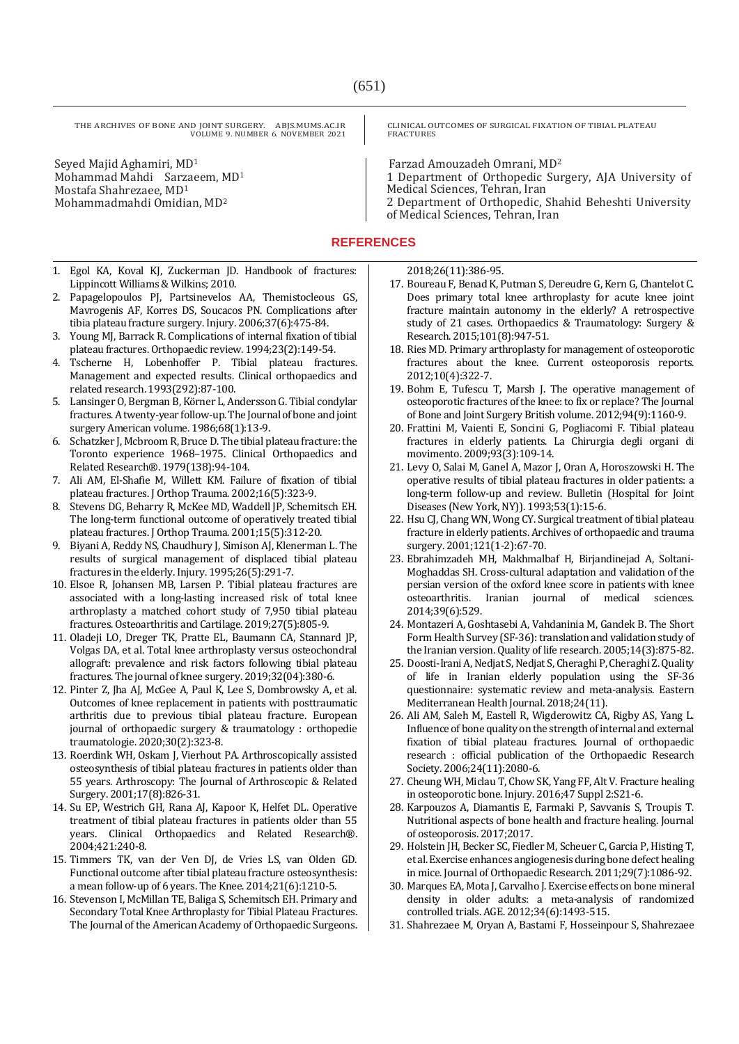Seyed Majid Aghamiri, MD<sup>1</sup> Mohammad Mahdi Sarzaeem, MD<sup>1</sup> Mostafa Shahrezaee, MD<sup>1</sup> Mohammadmahdi Omidian, MD<sup>2</sup>

CLINICAL OUTCOMES OF SURGICAL FIXATION OF TIBIAL PLATEAU FRACTURES

Farzad Amouzadeh Omrani, MD<sup>2</sup>

1 Department of Orthopedic Surgery, AJA University of Medical Sciences, Tehran, Iran

2 Department of Orthopedic, Shahid Beheshti University of Medical Sciences, Tehran, Iran

# **REFERENCES**

- 1. Egol KA, Koval KJ, Zuckerman JD. Handbook of fractures: Lippincott Williams & Wilkins; 2010.
- 2. Papagelopoulos PJ, Partsinevelos AA, Themistocleous GS, Mavrogenis AF, Korres DS, Soucacos PN. Complications after tibia plateau fracture surgery. Injury. 2006;37(6):475-84.
- 3. Young MJ, Barrack R. Complications of internal fixation of tibial plateau fractures. Orthopaedic review. 1994;23(2):149-54.
- 4. Tscherne H, Lobenhoffer P. Tibial plateau fractures. Management and expected results. Clinical orthopaedics and related research. 1993(292):87-100.
- 5. Lansinger O, Bergman B, Körner L, Andersson G. Tibial condylar fractures. A twenty-year follow-up. The Journal of bone and joint surgery American volume. 1986;68(1):13-9.
- 6. Schatzker J, Mcbroom R, Bruce D. The tibial plateau fracture: the Toronto experience 1968–1975. Clinical Orthopaedics and Related Research®. 1979(138):94-104.
- 7. Ali AM, El-Shafie M, Willett KM. Failure of fixation of tibial plateau fractures. J Orthop Trauma. 2002;16(5):323-9.
- 8. Stevens DG, Beharry R, McKee MD, Waddell JP, Schemitsch EH. The long-term functional outcome of operatively treated tibial plateau fractures. J Orthop Trauma. 2001;15(5):312-20.
- 9. Biyani A, Reddy NS, Chaudhury J, Simison AJ, Klenerman L. The results of surgical management of displaced tibial plateau fractures in the elderly. Injury. 1995;26(5):291-7.
- 10. Elsoe R, Johansen MB, Larsen P. Tibial plateau fractures are associated with a long-lasting increased risk of total knee arthroplasty a matched cohort study of 7,950 tibial plateau fractures. Osteoarthritis and Cartilage. 2019;27(5):805-9.
- 11. Oladeji LO, Dreger TK, Pratte EL, Baumann CA, Stannard JP, Volgas DA, et al. Total knee arthroplasty versus osteochondral allograft: prevalence and risk factors following tibial plateau fractures. The journal of knee surgery. 2019;32(04):380-6.
- 12. Pinter Z, Jha AJ, McGee A, Paul K, Lee S, Dombrowsky A, et al. Outcomes of knee replacement in patients with posttraumatic arthritis due to previous tibial plateau fracture. European journal of orthopaedic surgery & traumatology : orthopedie traumatologie. 2020;30(2):323-8.
- 13. Roerdink WH, Oskam J, Vierhout PA. Arthroscopically assisted osteosynthesis of tibial plateau fractures in patients older than 55 years. Arthroscopy: The Journal of Arthroscopic & Related Surgery. 2001;17(8):826-31.
- 14. Su EP, Westrich GH, Rana AJ, Kapoor K, Helfet DL. Operative treatment of tibial plateau fractures in patients older than 55 years. Clinical Orthopaedics and Related Research®. 2004;421:240-8.
- 15. Timmers TK, van der Ven DJ, de Vries LS, van Olden GD. Functional outcome after tibial plateau fracture osteosynthesis: a mean follow-up of 6 years. The Knee. 2014;21(6):1210-5.
- 16. Stevenson I, McMillan TE, Baliga S, Schemitsch EH. Primary and Secondary Total Knee Arthroplasty for Tibial Plateau Fractures. The Journal of the American Academy of Orthopaedic Surgeons.

2018;26(11):386-95.

- 17. Boureau F, Benad K, Putman S, Dereudre G, Kern G, Chantelot C. Does primary total knee arthroplasty for acute knee joint fracture maintain autonomy in the elderly? A retrospective study of 21 cases. Orthopaedics & Traumatology: Surgery & Research. 2015;101(8):947-51.
- 18. Ries MD. Primary arthroplasty for management of osteoporotic fractures about the knee. Current osteoporosis reports. 2012;10(4):322-7.
- 19. Bohm E, Tufescu T, Marsh J. The operative management of osteoporotic fractures of the knee: to fix or replace? The Journal of Bone and Joint Surgery British volume. 2012;94(9):1160-9.
- 20. Frattini M, Vaienti E, Soncini G, Pogliacomi F. Tibial plateau fractures in elderly patients. La Chirurgia degli organi di movimento. 2009;93(3):109-14.
- 21. Levy O, Salai M, Ganel A, Mazor J, Oran A, Horoszowski H. The operative results of tibial plateau fractures in older patients: a long-term follow-up and review. Bulletin (Hospital for Joint Diseases (New York, NY)). 1993;53(1):15-6.
- 22. Hsu CJ, Chang WN, Wong CY. Surgical treatment of tibial plateau fracture in elderly patients. Archives of orthopaedic and trauma surgery. 2001;121(1-2):67-70.
- 23. Ebrahimzadeh MH, Makhmalbaf H, Birjandinejad A, Soltani-Moghaddas SH. Cross-cultural adaptation and validation of the persian version of the oxford knee score in patients with knee osteoarthritis. Iranian journal of medical sciences. 2014;39(6):529.
- 24. Montazeri A, Goshtasebi A, Vahdaninia M, Gandek B. The Short Form Health Survey (SF-36): translation and validation study of the Iranian version. Quality of life research. 2005;14(3):875-82.
- 25. Doosti-Irani A, Nedjat S, Nedjat S, Cheraghi P, Cheraghi Z. Quality of life in Iranian elderly population using the SF-36 questionnaire: systematic review and meta-analysis. Eastern Mediterranean Health Journal. 2018;24(11).
- 26. Ali AM, Saleh M, Eastell R, Wigderowitz CA, Rigby AS, Yang L. Influence of bone quality on the strength of internal and external fixation of tibial plateau fractures. Journal of orthopaedic research : official publication of the Orthopaedic Research Society. 2006;24(11):2080-6.
- 27. Cheung WH, Miclau T, Chow SK, Yang FF, Alt V. Fracture healing in osteoporotic bone. Injury. 2016;47 Suppl 2:S21-6.
- 28. Karpouzos A, Diamantis E, Farmaki P, Savvanis S, Troupis T. Nutritional aspects of bone health and fracture healing. Journal of osteoporosis. 2017;2017.
- 29. Holstein JH, Becker SC, Fiedler M, Scheuer C, Garcia P, Histing T, et al. Exercise enhances angiogenesis during bone defect healing in mice. Journal of Orthopaedic Research. 2011;29(7):1086-92.
- 30. Marques EA, Mota J, Carvalho J. Exercise effects on bone mineral density in older adults: a meta-analysis of randomized controlled trials. AGE. 2012;34(6):1493-515.
- 31. Shahrezaee M, Oryan A, Bastami F, Hosseinpour S, Shahrezaee